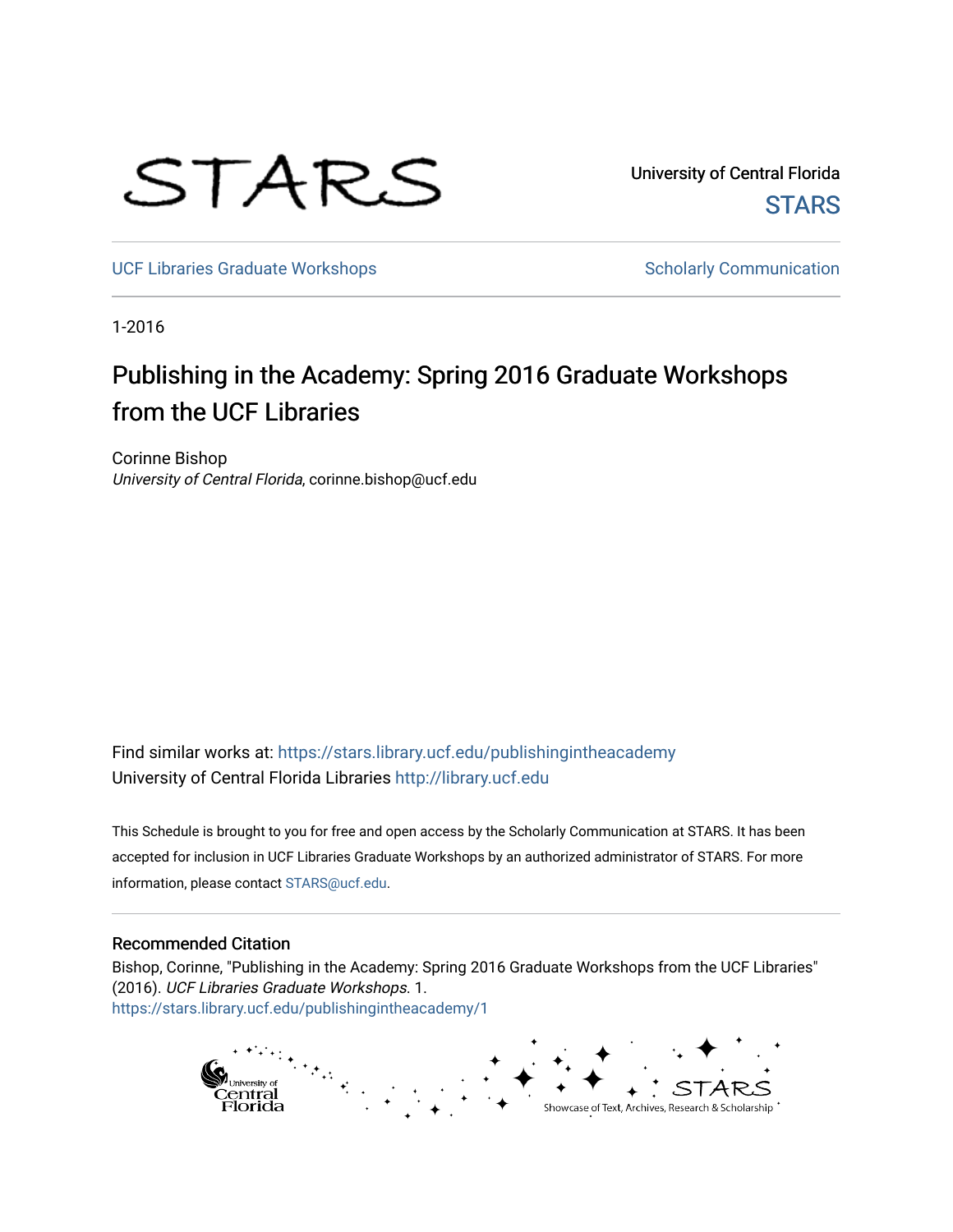# STARS

University of Central Florida **STARS** 

[UCF Libraries Graduate Workshops](https://stars.library.ucf.edu/publishingintheacademy) **Scholarly Communication** Scholarly Communication

1-2016

## Publishing in the Academy: Spring 2016 Graduate Workshops from the UCF Libraries

Corinne Bishop University of Central Florida, corinne.bishop@ucf.edu

Find similar works at: <https://stars.library.ucf.edu/publishingintheacademy> University of Central Florida Libraries [http://library.ucf.edu](http://library.ucf.edu/) 

This Schedule is brought to you for free and open access by the Scholarly Communication at STARS. It has been accepted for inclusion in UCF Libraries Graduate Workshops by an authorized administrator of STARS. For more information, please contact [STARS@ucf.edu.](mailto:STARS@ucf.edu)

#### Recommended Citation

Bishop, Corinne, "Publishing in the Academy: Spring 2016 Graduate Workshops from the UCF Libraries" (2016). UCF Libraries Graduate Workshops. 1. [https://stars.library.ucf.edu/publishingintheacademy/1](https://stars.library.ucf.edu/publishingintheacademy/1?utm_source=stars.library.ucf.edu%2Fpublishingintheacademy%2F1&utm_medium=PDF&utm_campaign=PDFCoverPages)

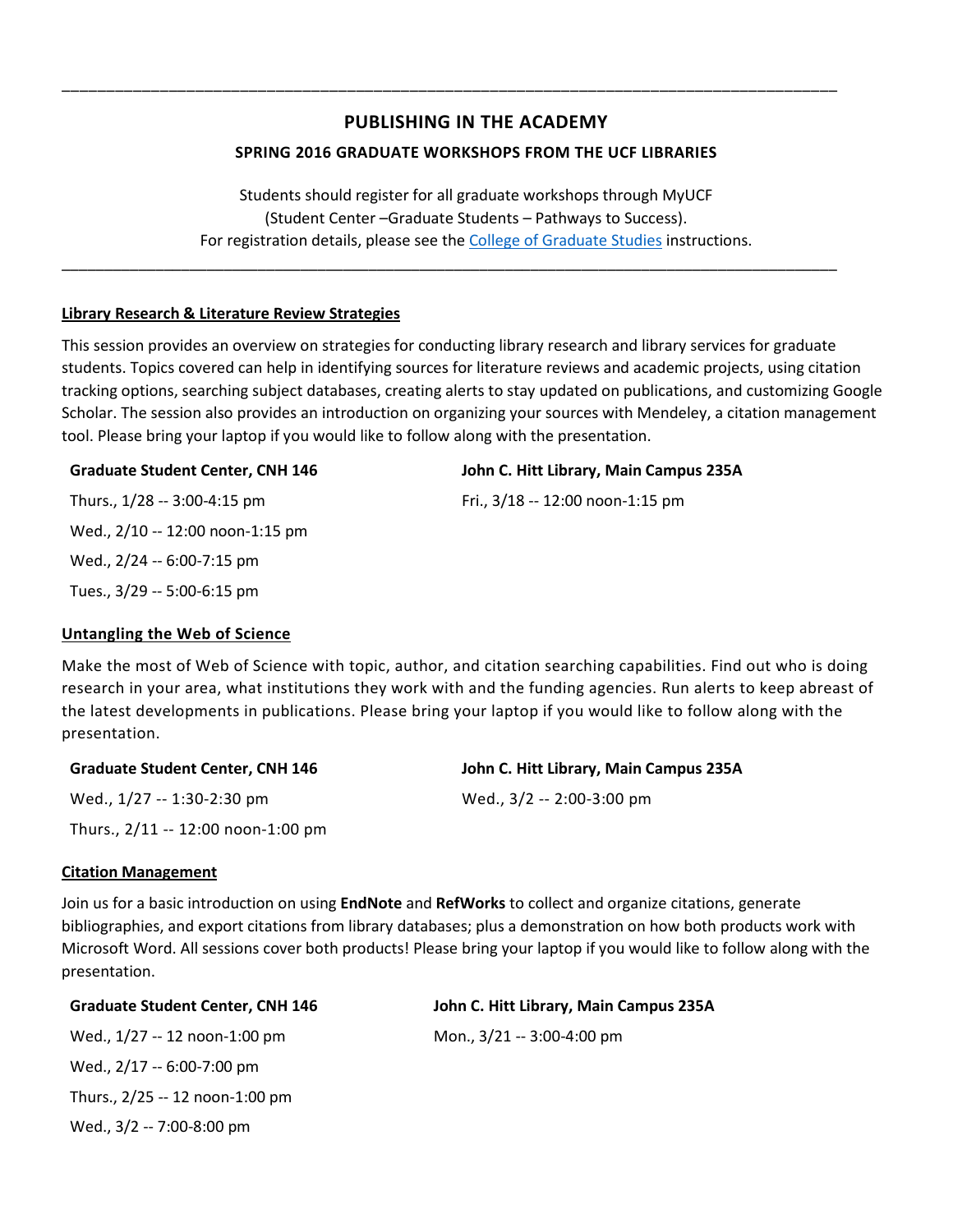### **PUBLISHING IN THE ACADEMY**

\_\_\_\_\_\_\_\_\_\_\_\_\_\_\_\_\_\_\_\_\_\_\_\_\_\_\_\_\_\_\_\_\_\_\_\_\_\_\_\_\_\_\_\_\_\_\_\_\_\_\_\_\_\_\_\_\_\_\_\_\_\_\_\_\_\_\_\_\_\_\_\_\_\_\_\_\_\_\_\_\_\_\_\_\_\_\_

\_\_\_\_\_\_\_\_\_\_\_\_\_\_\_\_\_\_\_\_\_\_\_\_\_\_\_\_\_\_\_\_\_\_\_\_\_\_\_\_\_\_\_\_\_\_\_\_\_\_\_\_\_\_\_\_\_\_\_\_\_\_\_\_\_\_\_\_\_\_\_\_\_\_\_\_\_\_\_\_\_\_\_\_\_\_\_\_\_\_\_

#### **SPRING 2016 GRADUATE WORKSHOPS FROM THE UCF LIBRARIES**

Students should register for all graduate workshops through MyUCF (Student Center –Graduate Students – Pathways to Success). For registration details, please see the [College of Graduate Studies](http://www.students.graduate.ucf.edu/Pathways/) instructions.

#### **Library Research & Literature Review Strategies**

This session provides an overview on strategies for conducting library research and library services for graduate students. Topics covered can help in identifying sources for literature reviews and academic projects, using citation tracking options, searching subject databases, creating alerts to stay updated on publications, and customizing Google Scholar. The session also provides an introduction on organizing your sources with Mendeley, a citation management tool. Please bring your laptop if you would like to follow along with the presentation.

#### **Graduate Student Center, CNH 146 John C. Hitt Library, Main Campus 235A**

Thurs., 1/28 -- 3:00-4:15 pm Fri., 3/18 -- 12:00 noon-1:15 pm Wed., 2/10 -- 12:00 noon-1:15 pm Wed., 2/24 -- 6:00-7:15 pm Tues., 3/29 -- 5:00-6:15 pm

#### **Untangling the Web of Science**

Make the most of Web of Science with topic, author, and citation searching capabilities. Find out who is doing research in your area, what institutions they work with and the funding agencies. Run alerts to keep abreast of the latest developments in publications. Please bring your laptop if you would like to follow along with the presentation.

| <b>Graduate Student Center, CNH 146</b> | John C. Hitt Library, Main Campus 235A |
|-----------------------------------------|----------------------------------------|
| Wed., 1/27 -- 1:30-2:30 pm              | Wed., 3/2 -- 2:00-3:00 pm              |
| Thurs., $2/11 - 12:00$ noon-1:00 pm     |                                        |

#### **Citation Management**

Join us for a basic introduction on using **EndNote** and **RefWorks** to collect and organize citations, generate bibliographies, and export citations from library databases; plus a demonstration on how both products work with Microsoft Word. All sessions cover both products! Please bring your laptop if you would like to follow along with the presentation.

| <b>Graduate Student Center, CNH 146</b> | John C. Hitt Library, Main Campus 235A |
|-----------------------------------------|----------------------------------------|
| Wed., 1/27 -- 12 noon-1:00 pm           | Mon., 3/21 -- 3:00-4:00 pm             |
| Wed., 2/17 -- 6:00-7:00 pm              |                                        |
| Thurs., 2/25 -- 12 noon-1:00 pm         |                                        |

Wed., 3/2 -- 7:00-8:00 pm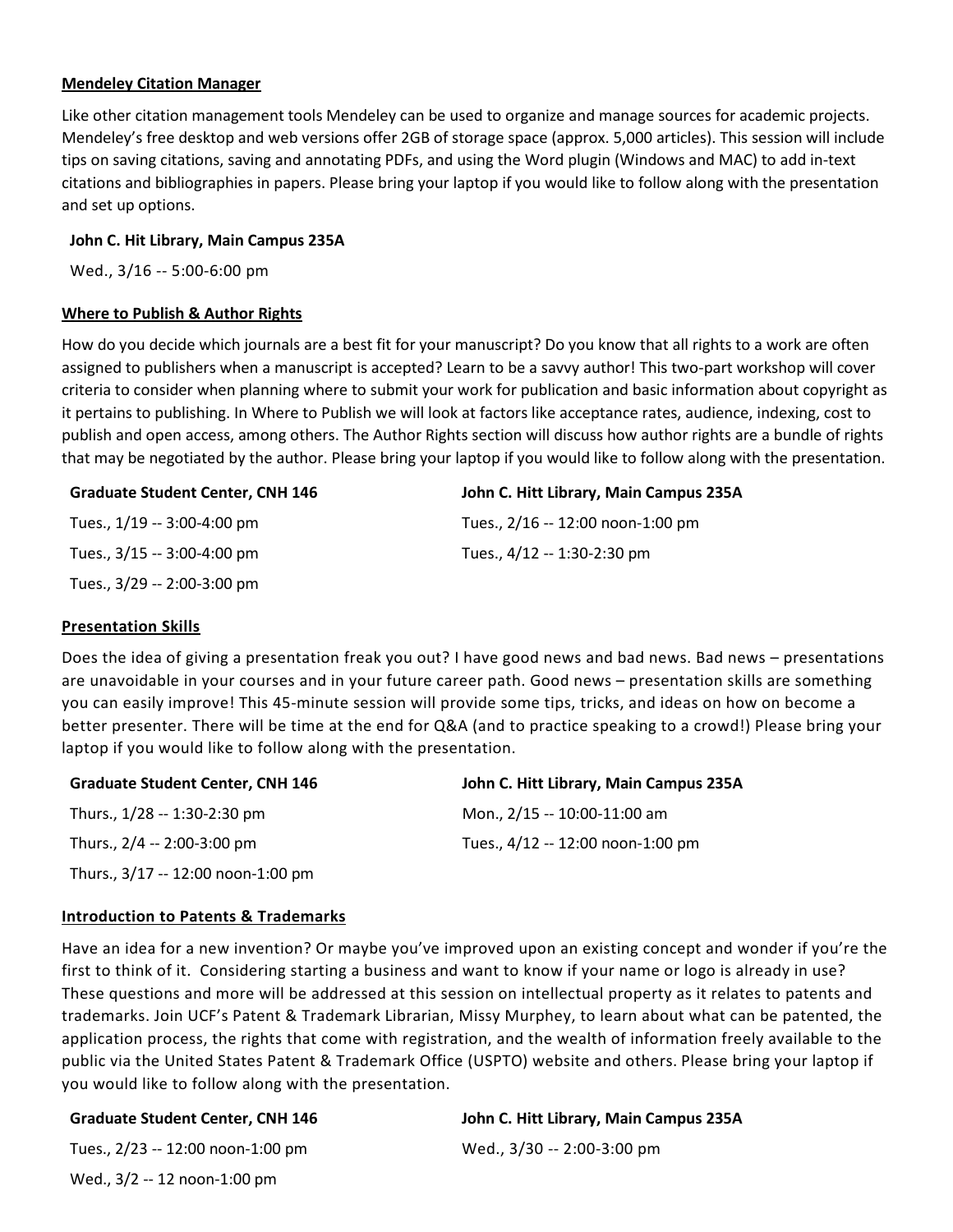#### **Mendeley Citation Manager**

Like other citation management tools Mendeley can be used to organize and manage sources for academic projects. Mendeley's free desktop and web versions offer 2GB of storage space (approx. 5,000 articles). This session will include tips on saving citations, saving and annotating PDFs, and using the Word plugin (Windows and MAC) to add in-text citations and bibliographies in papers. Please bring your laptop if you would like to follow along with the presentation and set up options.

#### **John C. Hit Library, Main Campus 235A**

Wed., 3/16 -- 5:00-6:00 pm

#### **Where to Publish & Author Rights**

How do you decide which journals are a best fit for your manuscript? Do you know that all rights to a work are often assigned to publishers when a manuscript is accepted? Learn to be a savvy author! This two-part workshop will cover criteria to consider when planning where to submit your work for publication and basic information about copyright as it pertains to publishing. In Where to Publish we will look at factors like acceptance rates, audience, indexing, cost to publish and open access, among others. The Author Rights section will discuss how author rights are a bundle of rights that may be negotiated by the author. Please bring your laptop if you would like to follow along with the presentation.

| <b>Graduate Student Center, CNH 146</b> | John C. Hitt Library, Main Campus 235A |
|-----------------------------------------|----------------------------------------|
| Tues., 1/19 -- 3:00-4:00 pm             | Tues., 2/16 -- 12:00 noon-1:00 pm      |
| Tues., 3/15 -- 3:00-4:00 pm             | Tues., 4/12 -- 1:30-2:30 pm            |
| Tues., 3/29 -- 2:00-3:00 pm             |                                        |

#### **Presentation Skills**

Does the idea of giving a presentation freak you out? I have good news and bad news. Bad news – presentations are unavoidable in your courses and in your future career path. Good news – presentation skills are something you can easily improve! This 45-minute session will provide some tips, tricks, and ideas on how on become a better presenter. There will be time at the end for Q&A (and to practice speaking to a crowd!) Please bring your laptop if you would like to follow along with the presentation.

| <b>Graduate Student Center, CNH 146</b> | John C. Hitt Library, Main Campus 235A |
|-----------------------------------------|----------------------------------------|
| Thurs., 1/28 -- 1:30-2:30 pm            | Mon., 2/15 -- 10:00-11:00 am           |
| Thurs., 2/4 -- 2:00-3:00 pm             | Tues., 4/12 -- 12:00 noon-1:00 pm      |
| Thurs., 3/17 -- 12:00 noon-1:00 pm      |                                        |

#### **Introduction to Patents & Trademarks**

Have an idea for a new invention? Or maybe you've improved upon an existing concept and wonder if you're the first to think of it. Considering starting a business and want to know if your name or logo is already in use? These questions and more will be addressed at this session on intellectual property as it relates to patents and trademarks. Join UCF's Patent & Trademark Librarian, Missy Murphey, to learn about what can be patented, the application process, the rights that come with registration, and the wealth of information freely available to the public via the United States Patent & Trademark Office (USPTO) website and others. Please bring your laptop if you would like to follow along with the presentation.

#### **Graduate Student Center, CNH 146**

Tues., 2/23 -- 12:00 noon-1:00 pm Wed., 3/2 -- 12 noon-1:00 pm

#### **John C. Hitt Library, Main Campus 235A**

Wed., 3/30 -- 2:00-3:00 pm